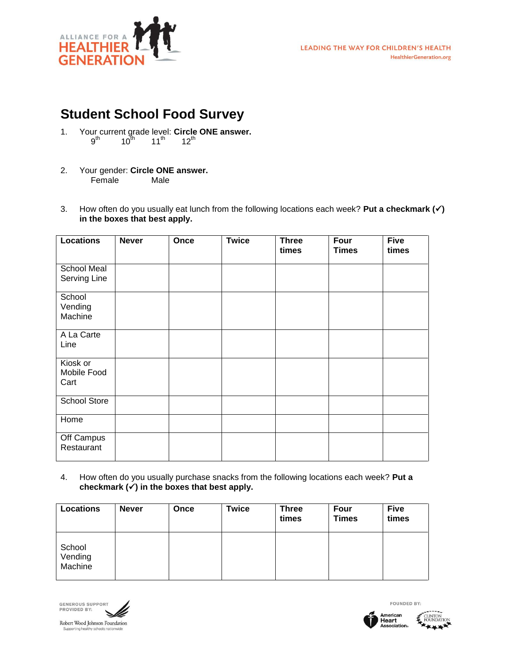

- 1. Your current grade level: **Circle ONE answer.**  $9^{\sf th}$  10<sup>th</sup> 11<sup>th</sup> 12<sup>th</sup>
- 2. Your gender: **Circle ONE answer.** Female Male
- 3. How often do you usually eat lunch from the following locations each week? **Put a checkmark () in the boxes that best apply.**

| <b>Locations</b>                | <b>Never</b> | Once | <b>Twice</b> | <b>Three</b><br>times | Four<br><b>Times</b> | <b>Five</b><br>times |
|---------------------------------|--------------|------|--------------|-----------------------|----------------------|----------------------|
| School Meal<br>Serving Line     |              |      |              |                       |                      |                      |
| School<br>Vending<br>Machine    |              |      |              |                       |                      |                      |
| A La Carte<br>Line              |              |      |              |                       |                      |                      |
| Kiosk or<br>Mobile Food<br>Cart |              |      |              |                       |                      |                      |
| School Store                    |              |      |              |                       |                      |                      |
| Home                            |              |      |              |                       |                      |                      |
| Off Campus<br>Restaurant        |              |      |              |                       |                      |                      |

4. How often do you usually purchase snacks from the following locations each week? **Put a**  checkmark  $(\checkmark)$  in the boxes that best apply.

| Locations                    | <b>Never</b> | Once | Twice | <b>Three</b><br>times | Four<br><b>Times</b> | <b>Five</b><br>times |
|------------------------------|--------------|------|-------|-----------------------|----------------------|----------------------|
| School<br>Vending<br>Machine |              |      |       |                       |                      |                      |



FOUNDED BY: American<br>**Heart**<br>Association。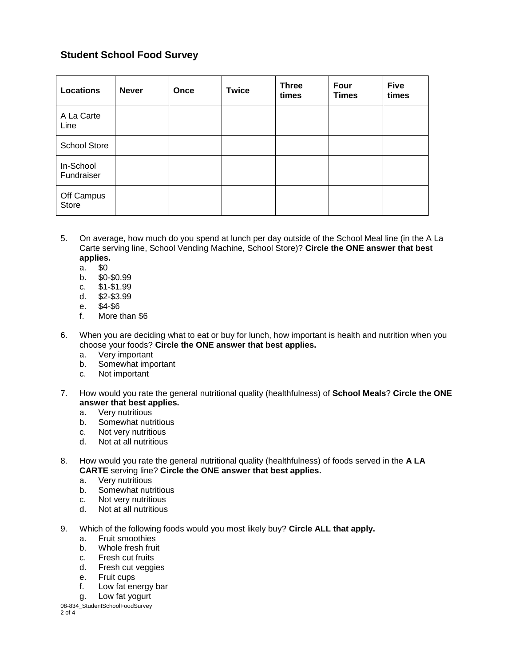| <b>Locations</b>        | <b>Never</b> | Once | <b>Twice</b> | <b>Three</b><br>times | <b>Four</b><br><b>Times</b> | <b>Five</b><br>times |
|-------------------------|--------------|------|--------------|-----------------------|-----------------------------|----------------------|
| A La Carte<br>Line      |              |      |              |                       |                             |                      |
| <b>School Store</b>     |              |      |              |                       |                             |                      |
| In-School<br>Fundraiser |              |      |              |                       |                             |                      |
| Off Campus<br>Store     |              |      |              |                       |                             |                      |

- 5. On average, how much do you spend at lunch per day outside of the School Meal line (in the A La Carte serving line, School Vending Machine, School Store)? **Circle the ONE answer that best applies.**
	- a. \$0
	- b. \$0-\$0.99
	- c. \$1-\$1.99
	- d. \$2-\$3.99
	- e. \$4-\$6
	- f. More than \$6
- 6. When you are deciding what to eat or buy for lunch, how important is health and nutrition when you choose your foods? **Circle the ONE answer that best applies.**
	- a. Very important
	- b. Somewhat important
	- c. Not important
- 7. How would you rate the general nutritional quality (healthfulness) of **School Meals**? **Circle the ONE answer that best applies.**
	- a. Very nutritious
	- b. Somewhat nutritious
	- c. Not very nutritious
	- d. Not at all nutritious
- 8. How would you rate the general nutritional quality (healthfulness) of foods served in the **A LA CARTE** serving line? **Circle the ONE answer that best applies.**
	- a. Very nutritious
	- b. Somewhat nutritious
	- c. Not very nutritious
	- d. Not at all nutritious
- 9. Which of the following foods would you most likely buy? **Circle ALL that apply.**
	- a. Fruit smoothies
	- b. Whole fresh fruit
	- c. Fresh cut fruits
	- d. Fresh cut veggies
	- e. Fruit cups
	- f. Low fat energy bar
	- g. Low fat yogurt

<sup>08-834</sup>\_StudentSchoolFoodSurvey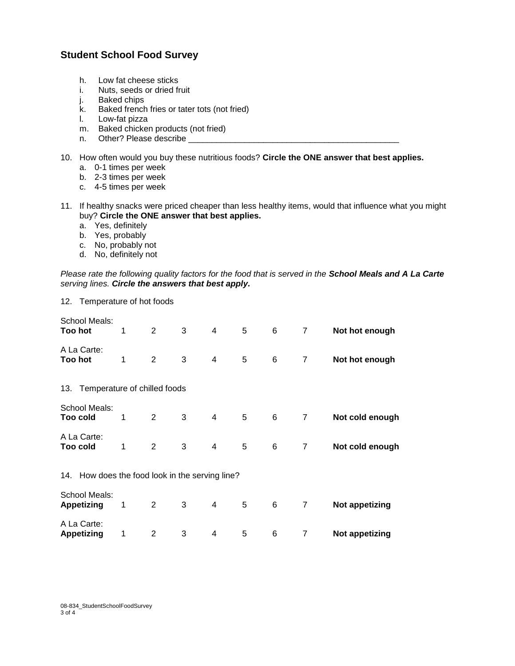- h. Low fat cheese sticks
- i. Nuts, seeds or dried fruit
- j. Baked chips
- k. Baked french fries or tater tots (not fried)
- l. Low-fat pizza
- m. Baked chicken products (not fried)
- n. Other? Please describe \_\_\_\_\_\_\_\_\_
- 10. How often would you buy these nutritious foods? **Circle the ONE answer that best applies.**
	- a. 0-1 times per week
	- b. 2-3 times per week
	- c. 4-5 times per week
- 11. If healthy snacks were priced cheaper than less healthy items, would that influence what you might buy? **Circle the ONE answer that best applies.**
	- a. Yes, definitely
	- b. Yes, probably
	- c. No, probably not
	- d. No, definitely not

*Please rate the following quality factors for the food that is served in the School Meals and A La Carte serving lines. Circle the answers that best apply.*

12. Temperature of hot foods

| School Meals:<br>Too hot                        | 1 | 2              | 3 | 4 | 5 | 6 | $\overline{7}$ | Not hot enough        |  |  |
|-------------------------------------------------|---|----------------|---|---|---|---|----------------|-----------------------|--|--|
| A La Carte:<br>Too hot                          | 1 | $\overline{2}$ | 3 | 4 | 5 | 6 | 7              | Not hot enough        |  |  |
| 13. Temperature of chilled foods                |   |                |   |   |   |   |                |                       |  |  |
| School Meals:<br>Too cold                       | 1 | 2              | 3 | 4 | 5 | 6 | 7              | Not cold enough       |  |  |
| A La Carte:<br>Too cold                         | 1 | 2              | 3 | 4 | 5 | 6 | 7              | Not cold enough       |  |  |
| 14. How does the food look in the serving line? |   |                |   |   |   |   |                |                       |  |  |
| School Meals:<br><b>Appetizing</b>              | 1 | 2              | 3 | 4 | 5 | 6 | $\overline{7}$ | Not appetizing        |  |  |
| A La Carte:<br><b>Appetizing</b>                | 1 | 2              | 3 | 4 | 5 | 6 | 7              | <b>Not appetizing</b> |  |  |